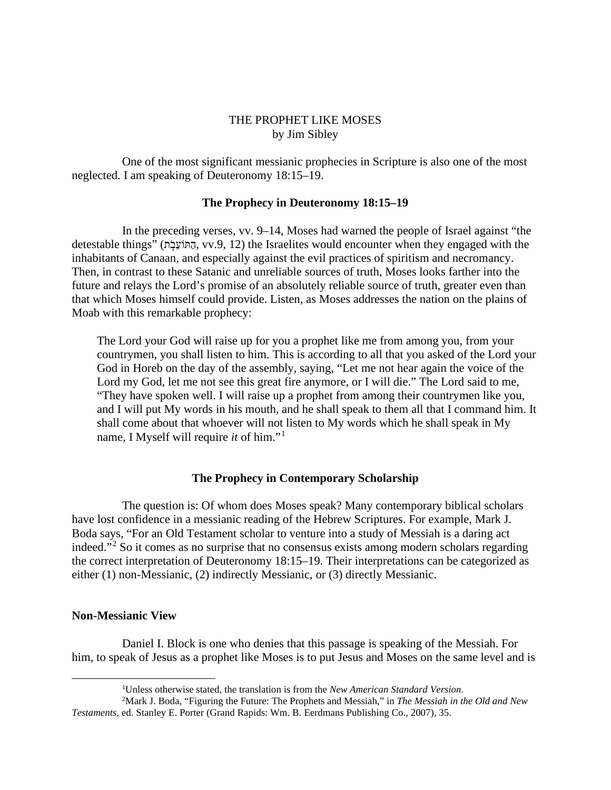# THE PROPHET LIKE MOSES by Jim Sibley

One of the most significant messianic prophecies in Scripture is also one of the most neglected. I am speaking of Deuteronomy 18:15–19.

## **The Prophecy in Deuteronomy 18:15–19**

In the preceding verses, vv. 9–14, Moses had warned the people of Israel against "the detestable things" (הַתּוֹעֲבָה, vv.9, 12) the Israelites would encounter when they engaged with the inhabitants of Canaan, and especially against the evil practices of spiritism and necromancy. Then, in contrast to these Satanic and unreliable sources of truth, Moses looks farther into the future and relays the Lord's promise of an absolutely reliable source of truth, greater even than that which Moses himself could provide. Listen, as Moses addresses the nation on the plains of Moab with this remarkable prophecy:

The Lord your God will raise up for you a prophet like me from among you, from your countrymen, you shall listen to him. This is according to all that you asked of the Lord your God in Horeb on the day of the assembly, saying, "Let me not hear again the voice of the Lord my God, let me not see this great fire anymore, or I will die." The Lord said to me, "They have spoken well. I will raise up a prophet from among their countrymen like you, and I will put My words in his mouth, and he shall speak to them all that I command him. It shall come about that whoever will not listen to My words which he shall speak in My name, I Myself will require *it* of him."[1](#page-0-0)

# **The Prophecy in Contemporary Scholarship**

The question is: Of whom does Moses speak? Many contemporary biblical scholars have lost confidence in a messianic reading of the Hebrew Scriptures. For example, Mark J. Boda says, "For an Old Testament scholar to venture into a study of Messiah is a daring act indeed."[2](#page-0-1) So it comes as no surprise that no consensus exists among modern scholars regarding the correct interpretation of Deuteronomy 18:15–19. Their interpretations can be categorized as either (1) non-Messianic, (2) indirectly Messianic, or (3) directly Messianic.

## **Non-Messianic View**

Daniel I. Block is one who denies that this passage is speaking of the Messiah. For him, to speak of Jesus as a prophet like Moses is to put Jesus and Moses on the same level and is

<sup>1</sup> Unless otherwise stated, the translation is from the *New American Standard Version*.

<span id="page-0-1"></span><span id="page-0-0"></span><sup>2</sup> Mark J. Boda, "Figuring the Future: The Prophets and Messiah," in *The Messiah in the Old and New Testaments*, ed. Stanley E. Porter (Grand Rapids: Wm. B. Eerdmans Publishing Co., 2007), 35.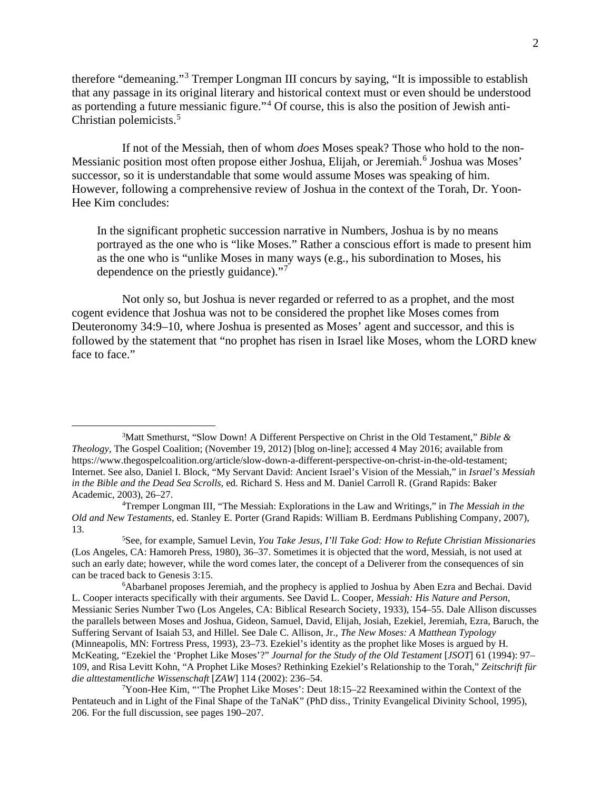therefore "demeaning."[3](#page-1-0) Tremper Longman III concurs by saying, "It is impossible to establish that any passage in its original literary and historical context must or even should be understood as portending a future messianic figure."[4](#page-1-1) Of course, this is also the position of Jewish anti-Christian polemicists.<sup>[5](#page-1-2)</sup>

If not of the Messiah, then of whom *does* Moses speak? Those who hold to the non-Messianic position most often propose either Joshua, Elijah, or Jeremiah.<sup>[6](#page-1-3)</sup> Joshua was Moses' successor, so it is understandable that some would assume Moses was speaking of him. However, following a comprehensive review of Joshua in the context of the Torah, Dr. Yoon-Hee Kim concludes:

In the significant prophetic succession narrative in Numbers, Joshua is by no means portrayed as the one who is "like Moses." Rather a conscious effort is made to present him as the one who is "unlike Moses in many ways (e.g., his subordination to Moses, his dependence on the priestly guidance)."[7](#page-1-4)

Not only so, but Joshua is never regarded or referred to as a prophet, and the most cogent evidence that Joshua was not to be considered the prophet like Moses comes from Deuteronomy 34:9–10, where Joshua is presented as Moses' agent and successor, and this is followed by the statement that "no prophet has risen in Israel like Moses, whom the LORD knew face to face."

<span id="page-1-0"></span><sup>3</sup> Matt Smethurst, "Slow Down! A Different Perspective on Christ in the Old Testament," *Bible & Theology*, The Gospel Coalition; (November 19, 2012) [blog on-line]; accessed 4 May 2016; available from https://www.thegospelcoalition.org/article/slow-down-a-different-perspective-on-christ-in-the-old-testament; Internet. See also, Daniel I. Block, "My Servant David: Ancient Israel's Vision of the Messiah," in *Israel's Messiah in the Bible and the Dead Sea Scrolls*, ed. Richard S. Hess and M. Daniel Carroll R. (Grand Rapids: Baker Academic, 2003), 26–27.

<span id="page-1-1"></span><sup>4</sup> Tremper Longman III, "The Messiah: Explorations in the Law and Writings," in *The Messiah in the Old and New Testaments*, ed. Stanley E. Porter (Grand Rapids: William B. Eerdmans Publishing Company, 2007),  $13.$ 

<span id="page-1-2"></span>See, for example, Samuel Levin, *You Take Jesus, I'll Take God: How to Refute Christian Missionaries* (Los Angeles, CA: Hamoreh Press, 1980), 36–37. Sometimes it is objected that the word, Messiah, is not used at such an early date; however, while the word comes later, the concept of a Deliverer from the consequences of sin can be traced back to Genesis 3:15.

<span id="page-1-3"></span><sup>&</sup>lt;sup>6</sup>Abarbanel proposes Jeremiah, and the prophecy is applied to Joshua by Aben Ezra and Bechai. David L. Cooper interacts specifically with their arguments. See David L. Cooper, *Messiah: His Nature and Person*, Messianic Series Number Two (Los Angeles, CA: Biblical Research Society, 1933), 154–55. Dale Allison discusses the parallels between Moses and Joshua, Gideon, Samuel, David, Elijah, Josiah, Ezekiel, Jeremiah, Ezra, Baruch, the Suffering Servant of Isaiah 53, and Hillel. See Dale C. Allison, Jr., *The New Moses: A Matthean Typology* (Minneapolis, MN: Fortress Press, 1993), 23–73. Ezekiel's identity as the prophet like Moses is argued by H. McKeating, "Ezekiel the 'Prophet Like Moses'?" *Journal for the Study of the Old Testament* [*JSOT*] 61 (1994): 97– 109, and Risa Levitt Kohn, "A Prophet Like Moses? Rethinking Ezekiel's Relationship to the Torah," *Zeitschrift für die alttestamentliche Wissenschaft* [*ZAW*] 114 (2002): 236–54.

<span id="page-1-4"></span><sup>7</sup> Yoon-Hee Kim, "'The Prophet Like Moses': Deut 18:15–22 Reexamined within the Context of the Pentateuch and in Light of the Final Shape of the TaNaK" (PhD diss., Trinity Evangelical Divinity School, 1995), 206. For the full discussion, see pages 190–207.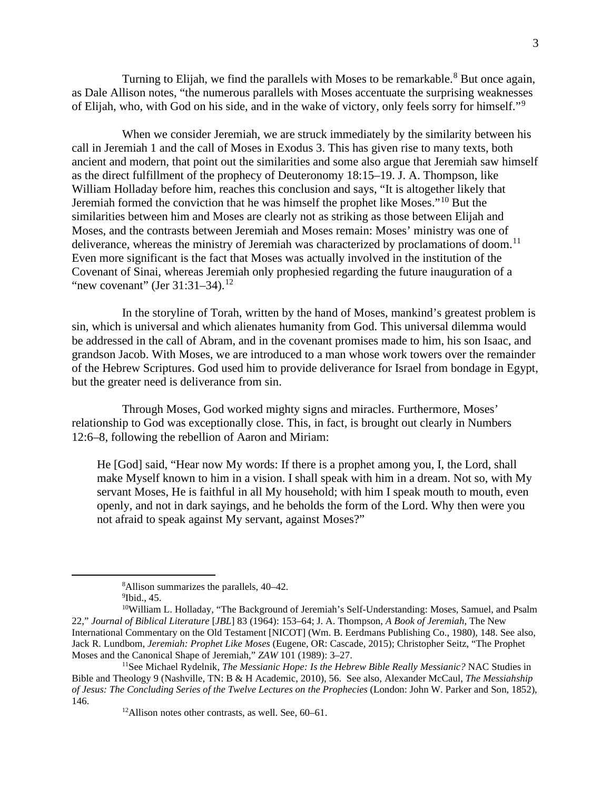Turning to Elijah, we find the parallels with Moses to be remarkable.<sup>[8](#page-2-0)</sup> But once again, as Dale Allison notes, "the numerous parallels with Moses accentuate the surprising weaknesses of Elijah, who, with God on his side, and in the wake of victory, only feels sorry for himself."[9](#page-2-1)

When we consider Jeremiah, we are struck immediately by the similarity between his call in Jeremiah 1 and the call of Moses in Exodus 3. This has given rise to many texts, both ancient and modern, that point out the similarities and some also argue that Jeremiah saw himself as the direct fulfillment of the prophecy of Deuteronomy 18:15–19. J. A. Thompson, like William Holladay before him, reaches this conclusion and says, "It is altogether likely that Jeremiah formed the conviction that he was himself the prophet like Moses."[10](#page-2-2) But the similarities between him and Moses are clearly not as striking as those between Elijah and Moses, and the contrasts between Jeremiah and Moses remain: Moses' ministry was one of deliverance, whereas the ministry of Jeremiah was characterized by proclamations of doom.<sup>[11](#page-2-3)</sup> Even more significant is the fact that Moses was actually involved in the institution of the Covenant of Sinai, whereas Jeremiah only prophesied regarding the future inauguration of a "new covenant" (Jer  $31:31-34$ ).<sup>[12](#page-2-4)</sup>

In the storyline of Torah, written by the hand of Moses, mankind's greatest problem is sin, which is universal and which alienates humanity from God. This universal dilemma would be addressed in the call of Abram, and in the covenant promises made to him, his son Isaac, and grandson Jacob. With Moses, we are introduced to a man whose work towers over the remainder of the Hebrew Scriptures. God used him to provide deliverance for Israel from bondage in Egypt, but the greater need is deliverance from sin.

Through Moses, God worked mighty signs and miracles. Furthermore, Moses' relationship to God was exceptionally close. This, in fact, is brought out clearly in Numbers 12:6–8, following the rebellion of Aaron and Miriam:

He [God] said, "Hear now My words: If there is a prophet among you, I, the Lord, shall make Myself known to him in a vision. I shall speak with him in a dream. Not so, with My servant Moses, He is faithful in all My household; with him I speak mouth to mouth, even openly, and not in dark sayings, and he beholds the form of the Lord. Why then were you not afraid to speak against My servant, against Moses?"

<sup>&</sup>lt;sup>8</sup> Allison summarizes the parallels,  $40-42$ .<br><sup>9</sup>Ibid  $45$ 

 $9$ Ibid., 45.

<span id="page-2-2"></span><span id="page-2-1"></span><span id="page-2-0"></span><sup>10</sup>William L. Holladay, "The Background of Jeremiah's Self-Understanding: Moses, Samuel, and Psalm 22," *Journal of Biblical Literature* [*JBL*] 83 (1964): 153–64; J. A. Thompson, *A Book of Jeremiah*, The New International Commentary on the Old Testament [NICOT] (Wm. B. Eerdmans Publishing Co., 1980), 148. See also, Jack R. Lundbom, *Jeremiah: Prophet Like Moses* (Eugene, OR: Cascade, 2015); Christopher Seitz, "The Prophet Moses and the Canonical Shape of Jeremiah," *ZAW* 101 (1989): 3–27.

<span id="page-2-4"></span><span id="page-2-3"></span><sup>11</sup>See Michael Rydelnik, *The Messianic Hope: Is the Hebrew Bible Really Messianic?* NAC Studies in Bible and Theology 9 (Nashville, TN: B & H Academic, 2010), 56. See also, Alexander McCaul, *The Messiahship of Jesus: The Concluding Series of the Twelve Lectures on the Prophecies* (London: John W. Parker and Son, 1852), 146.

<sup>12</sup>Allison notes other contrasts, as well. See, 60–61.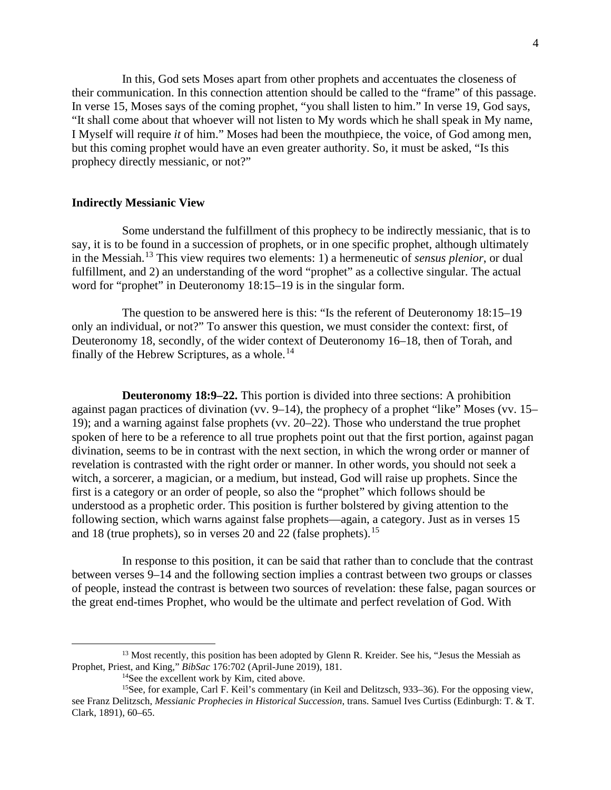In this, God sets Moses apart from other prophets and accentuates the closeness of their communication. In this connection attention should be called to the "frame" of this passage. In verse 15, Moses says of the coming prophet, "you shall listen to him." In verse 19, God says, "It shall come about that whoever will not listen to My words which he shall speak in My name, I Myself will require *it* of him." Moses had been the mouthpiece, the voice, of God among men, but this coming prophet would have an even greater authority. So, it must be asked, "Is this prophecy directly messianic, or not?"

#### **Indirectly Messianic View**

Some understand the fulfillment of this prophecy to be indirectly messianic, that is to say, it is to be found in a succession of prophets, or in one specific prophet, although ultimately in the Messiah.[13](#page-3-0) This view requires two elements: 1) a hermeneutic of *sensus plenior*, or dual fulfillment, and 2) an understanding of the word "prophet" as a collective singular. The actual word for "prophet" in Deuteronomy 18:15–19 is in the singular form.

The question to be answered here is this: "Is the referent of Deuteronomy 18:15–19 only an individual, or not?" To answer this question, we must consider the context: first, of Deuteronomy 18, secondly, of the wider context of Deuteronomy 16–18, then of Torah, and finally of the Hebrew Scriptures, as a whole.<sup>[14](#page-3-1)</sup>

**Deuteronomy 18:9–22.** This portion is divided into three sections: A prohibition against pagan practices of divination (vv. 9–14), the prophecy of a prophet "like" Moses (vv. 15– 19); and a warning against false prophets (vv. 20–22). Those who understand the true prophet spoken of here to be a reference to all true prophets point out that the first portion, against pagan divination, seems to be in contrast with the next section, in which the wrong order or manner of revelation is contrasted with the right order or manner. In other words, you should not seek a witch, a sorcerer, a magician, or a medium, but instead, God will raise up prophets. Since the first is a category or an order of people, so also the "prophet" which follows should be understood as a prophetic order. This position is further bolstered by giving attention to the following section, which warns against false prophets—again, a category. Just as in verses 15 and 18 (true prophets), so in verses 20 and 22 (false prophets).<sup>[15](#page-3-2)</sup>

In response to this position, it can be said that rather than to conclude that the contrast between verses 9–14 and the following section implies a contrast between two groups or classes of people, instead the contrast is between two sources of revelation: these false, pagan sources or the great end-times Prophet, who would be the ultimate and perfect revelation of God. With

<span id="page-3-0"></span><sup>&</sup>lt;sup>13</sup> Most recently, this position has been adopted by Glenn R. Kreider. See his, "Jesus the Messiah as Prophet, Priest, and King," *BibSac* 176:702 (April-June 2019), 181.

<sup>&</sup>lt;sup>14</sup>See the excellent work by Kim, cited above.

<span id="page-3-2"></span><span id="page-3-1"></span><sup>&</sup>lt;sup>15</sup>See, for example, Carl F. Keil's commentary (in Keil and Delitzsch, 933–36). For the opposing view, see Franz Delitzsch, *Messianic Prophecies in Historical Succession*, trans. Samuel Ives Curtiss (Edinburgh: T. & T. Clark, 1891), 60–65.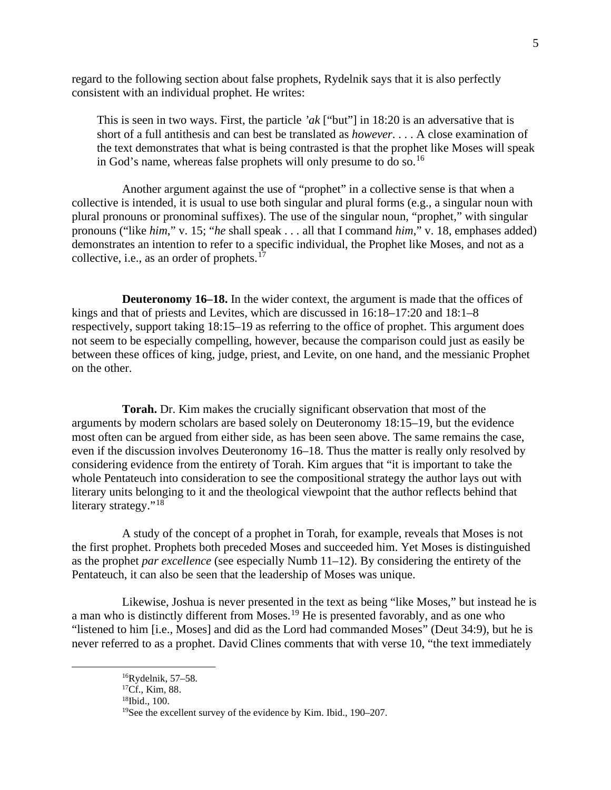regard to the following section about false prophets, Rydelnik says that it is also perfectly consistent with an individual prophet. He writes:

This is seen in two ways. First, the particle *'ak* ["but"] in 18:20 is an adversative that is short of a full antithesis and can best be translated as *however*. . . . A close examination of the text demonstrates that what is being contrasted is that the prophet like Moses will speak in God's name, whereas false prophets will only presume to do so.<sup>[16](#page-4-0)</sup>

Another argument against the use of "prophet" in a collective sense is that when a collective is intended, it is usual to use both singular and plural forms (e.g., a singular noun with plural pronouns or pronominal suffixes). The use of the singular noun, "prophet," with singular pronouns ("like *him*," v. 15; "*he* shall speak . . . all that I command *him*," v. 18, emphases added) demonstrates an intention to refer to a specific individual, the Prophet like Moses, and not as a collective, i.e., as an order of prophets. $17$ 

**Deuteronomy 16–18.** In the wider context, the argument is made that the offices of kings and that of priests and Levites, which are discussed in 16:18–17:20 and 18:1–8 respectively, support taking 18:15–19 as referring to the office of prophet. This argument does not seem to be especially compelling, however, because the comparison could just as easily be between these offices of king, judge, priest, and Levite, on one hand, and the messianic Prophet on the other.

**Torah.** Dr. Kim makes the crucially significant observation that most of the arguments by modern scholars are based solely on Deuteronomy 18:15–19, but the evidence most often can be argued from either side, as has been seen above. The same remains the case, even if the discussion involves Deuteronomy 16–18. Thus the matter is really only resolved by considering evidence from the entirety of Torah. Kim argues that "it is important to take the whole Pentateuch into consideration to see the compositional strategy the author lays out with literary units belonging to it and the theological viewpoint that the author reflects behind that literary strategy."<sup>[18](#page-4-2)</sup>

A study of the concept of a prophet in Torah, for example, reveals that Moses is not the first prophet. Prophets both preceded Moses and succeeded him. Yet Moses is distinguished as the prophet *par excellence* (see especially Numb 11–12). By considering the entirety of the Pentateuch, it can also be seen that the leadership of Moses was unique.

<span id="page-4-1"></span><span id="page-4-0"></span>Likewise, Joshua is never presented in the text as being "like Moses," but instead he is a man who is distinctly different from Moses.<sup>[19](#page-4-3)</sup> He is presented favorably, and as one who "listened to him [i.e., Moses] and did as the Lord had commanded Moses" (Deut 34:9), but he is never referred to as a prophet. David Clines comments that with verse 10, "the text immediately

 $16Ry$ delnik, 57–58.

<span id="page-4-3"></span><span id="page-4-2"></span><sup>17</sup>Cf., Kim, 88.

<sup>18</sup>Ibid., 100.

<sup>19</sup>See the excellent survey of the evidence by Kim. Ibid., 190–207.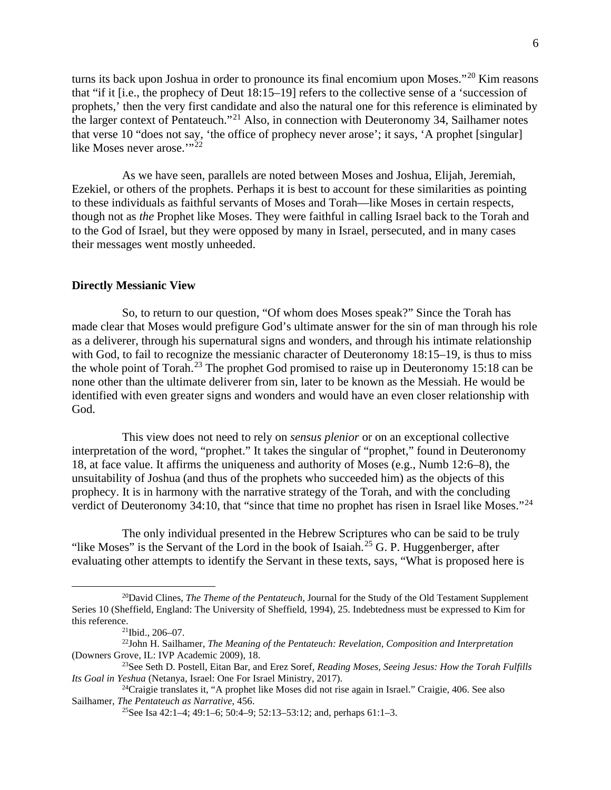turns its back upon Joshua in order to pronounce its final encomium upon Moses."<sup>[20](#page-5-0)</sup> Kim reasons that "if it [i.e., the prophecy of Deut 18:15–19] refers to the collective sense of a 'succession of prophets,' then the very first candidate and also the natural one for this reference is eliminated by the larger context of Pentateuch."[21](#page-5-1) Also, in connection with Deuteronomy 34, Sailhamer notes that verse 10 "does not say, 'the office of prophecy never arose'; it says, 'A prophet [singular] like Moses never arose."<sup>[22](#page-5-2)</sup>

As we have seen, parallels are noted between Moses and Joshua, Elijah, Jeremiah, Ezekiel, or others of the prophets. Perhaps it is best to account for these similarities as pointing to these individuals as faithful servants of Moses and Torah—like Moses in certain respects, though not as *the* Prophet like Moses. They were faithful in calling Israel back to the Torah and to the God of Israel, but they were opposed by many in Israel, persecuted, and in many cases their messages went mostly unheeded.

#### **Directly Messianic View**

So, to return to our question, "Of whom does Moses speak?" Since the Torah has made clear that Moses would prefigure God's ultimate answer for the sin of man through his role as a deliverer, through his supernatural signs and wonders, and through his intimate relationship with God, to fail to recognize the messianic character of Deuteronomy 18:15–19, is thus to miss the whole point of Torah.<sup>[23](#page-5-3)</sup> The prophet God promised to raise up in Deuteronomy 15:18 can be none other than the ultimate deliverer from sin, later to be known as the Messiah. He would be identified with even greater signs and wonders and would have an even closer relationship with God.

This view does not need to rely on *sensus plenior* or on an exceptional collective interpretation of the word, "prophet." It takes the singular of "prophet," found in Deuteronomy 18, at face value. It affirms the uniqueness and authority of Moses (e.g., Numb 12:6–8), the unsuitability of Joshua (and thus of the prophets who succeeded him) as the objects of this prophecy. It is in harmony with the narrative strategy of the Torah, and with the concluding verdict of Deuteronomy 34:10, that "since that time no prophet has risen in Israel like Moses."<sup>[24](#page-5-4)</sup>

The only individual presented in the Hebrew Scriptures who can be said to be truly "like Moses" is the Servant of the Lord in the book of Isaiah.<sup>[25](#page-5-5)</sup> G. P. Huggenberger, after evaluating other attempts to identify the Servant in these texts, says, "What is proposed here is

<span id="page-5-0"></span><sup>20</sup>David Clines, *The Theme of the Pentateuch*, Journal for the Study of the Old Testament Supplement Series 10 (Sheffield, England: The University of Sheffield, 1994), 25. Indebtedness must be expressed to Kim for this reference.

<sup>21</sup>Ibid., 206–07.

<span id="page-5-2"></span><span id="page-5-1"></span><sup>22</sup>John H. Sailhamer, *The Meaning of the Pentateuch: Revelation, Composition and Interpretation* (Downers Grove, IL: IVP Academic 2009), 18.

<span id="page-5-3"></span><sup>23</sup>See Seth D. Postell, Eitan Bar, and Erez Soref, *Reading Moses, Seeing Jesus: How the Torah Fulfills Its Goal in Yeshua* (Netanya, Israel: One For Israel Ministry, 2017).

<span id="page-5-5"></span><span id="page-5-4"></span><sup>24</sup>Craigie translates it, "A prophet like Moses did not rise again in Israel." Craigie, 406. See also Sailhamer, *The Pentateuch as Narrative*, 456.

<sup>&</sup>lt;sup>25</sup>See Isa 42:1–4; 49:1–6; 50:4–9; 52:13–53:12; and, perhaps 61:1–3.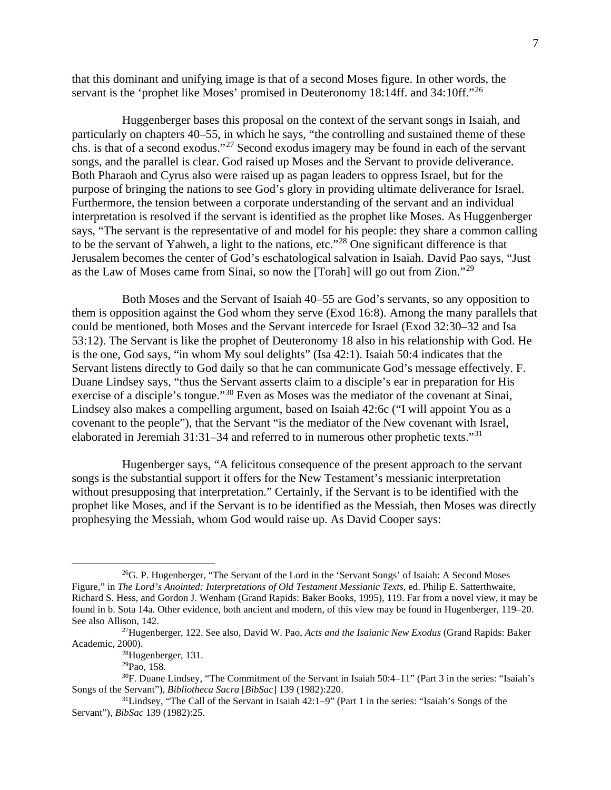that this dominant and unifying image is that of a second Moses figure. In other words, the servant is the 'prophet like Moses' promised in Deuteronomy 18:14ff. and 34:10ff."<sup>[26](#page-6-0)</sup>

Huggenberger bases this proposal on the context of the servant songs in Isaiah, and particularly on chapters 40–55, in which he says, "the controlling and sustained theme of these chs. is that of a second exodus."[27](#page-6-1) Second exodus imagery may be found in each of the servant songs, and the parallel is clear. God raised up Moses and the Servant to provide deliverance. Both Pharaoh and Cyrus also were raised up as pagan leaders to oppress Israel, but for the purpose of bringing the nations to see God's glory in providing ultimate deliverance for Israel. Furthermore, the tension between a corporate understanding of the servant and an individual interpretation is resolved if the servant is identified as the prophet like Moses. As Huggenberger says, "The servant is the representative of and model for his people: they share a common calling to be the servant of Yahweh, a light to the nations, etc."[28](#page-6-2) One significant difference is that Jerusalem becomes the center of God's eschatological salvation in Isaiah. David Pao says, "Just as the Law of Moses came from Sinai, so now the [Torah] will go out from Zion."[29](#page-6-3)

Both Moses and the Servant of Isaiah 40–55 are God's servants, so any opposition to them is opposition against the God whom they serve (Exod 16:8). Among the many parallels that could be mentioned, both Moses and the Servant intercede for Israel (Exod 32:30–32 and Isa 53:12). The Servant is like the prophet of Deuteronomy 18 also in his relationship with God. He is the one, God says, "in whom My soul delights" (Isa 42:1). Isaiah 50:4 indicates that the Servant listens directly to God daily so that he can communicate God's message effectively. F. Duane Lindsey says, "thus the Servant asserts claim to a disciple's ear in preparation for His exercise of a disciple's tongue."[30](#page-6-4) Even as Moses was the mediator of the covenant at Sinai, Lindsey also makes a compelling argument, based on Isaiah 42:6c ("I will appoint You as a covenant to the people"), that the Servant "is the mediator of the New covenant with Israel, elaborated in Jeremiah [31](#page-6-5):31–34 and referred to in numerous other prophetic texts."<sup>31</sup>

Hugenberger says, "A felicitous consequence of the present approach to the servant songs is the substantial support it offers for the New Testament's messianic interpretation without presupposing that interpretation." Certainly, if the Servant is to be identified with the prophet like Moses, and if the Servant is to be identified as the Messiah, then Moses was directly prophesying the Messiah, whom God would raise up. As David Cooper says:

<span id="page-6-0"></span><sup>&</sup>lt;sup>26</sup>G. P. Hugenberger, "The Servant of the Lord in the 'Servant Songs' of Isaiah: A Second Moses Figure," in *The Lord's Anointed: Interpretations of Old Testament Messianic Texts*, ed. Philip E. Satterthwaite, Richard S. Hess, and Gordon J. Wenham (Grand Rapids: Baker Books, 1995), 119. Far from a novel view, it may be found in b. Sota 14a. Other evidence, both ancient and modern, of this view may be found in Hugenberger, 119–20. See also Allison, 142.

<span id="page-6-2"></span><span id="page-6-1"></span><sup>27</sup>Hugenberger, 122. See also, David W. Pao, *Acts and the Isaianic New Exodus* (Grand Rapids: Baker Academic, 2000).

<sup>28</sup>Hugenberger, 131.

<sup>29</sup>Pao, 158.

<span id="page-6-4"></span><span id="page-6-3"></span><sup>30</sup>F. Duane Lindsey, "The Commitment of the Servant in Isaiah 50:4–11" (Part 3 in the series: "Isaiah's Songs of the Servant"), *Bibliotheca Sacra* [*BibSac*] 139 (1982):220.

<span id="page-6-5"></span> $31$ Lindsey, "The Call of the Servant in Isaiah  $42:1-9$ " (Part 1 in the series: "Isaiah's Songs of the Servant"), *BibSac* 139 (1982):25.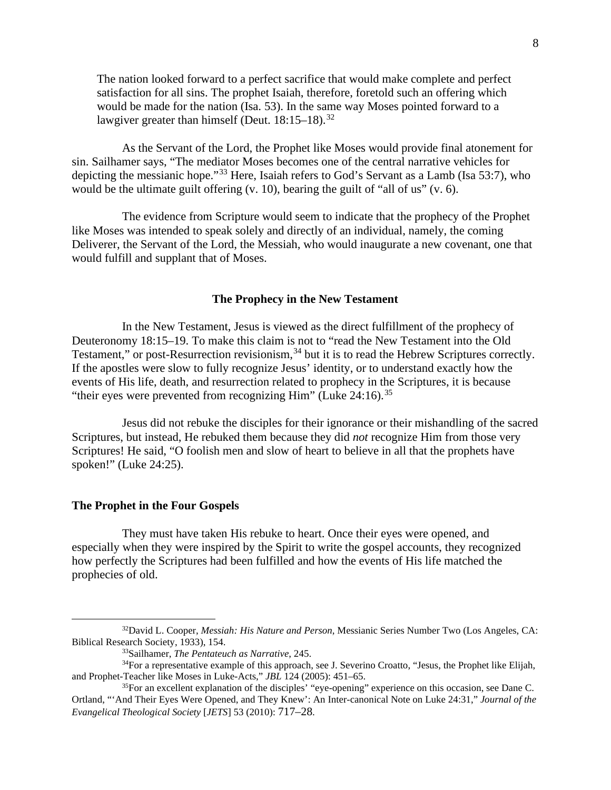The nation looked forward to a perfect sacrifice that would make complete and perfect satisfaction for all sins. The prophet Isaiah, therefore, foretold such an offering which would be made for the nation (Isa. 53). In the same way Moses pointed forward to a lawgiver greater than himself (Deut. 18:15–18).<sup>[32](#page-7-0)</sup>

As the Servant of the Lord, the Prophet like Moses would provide final atonement for sin. Sailhamer says, "The mediator Moses becomes one of the central narrative vehicles for depicting the messianic hope."[33](#page-7-1) Here, Isaiah refers to God's Servant as a Lamb (Isa 53:7), who would be the ultimate guilt offering (v. 10), bearing the guilt of "all of us" (v. 6).

The evidence from Scripture would seem to indicate that the prophecy of the Prophet like Moses was intended to speak solely and directly of an individual, namely, the coming Deliverer, the Servant of the Lord, the Messiah, who would inaugurate a new covenant, one that would fulfill and supplant that of Moses.

#### **The Prophecy in the New Testament**

In the New Testament, Jesus is viewed as the direct fulfillment of the prophecy of Deuteronomy 18:15–19. To make this claim is not to "read the New Testament into the Old Testament," or post-Resurrection revisionism,<sup>[34](#page-7-2)</sup> but it is to read the Hebrew Scriptures correctly. If the apostles were slow to fully recognize Jesus' identity, or to understand exactly how the events of His life, death, and resurrection related to prophecy in the Scriptures, it is because "their eyes were prevented from recognizing Him" (Luke  $24:16$ ).<sup>[35](#page-7-3)</sup>

Jesus did not rebuke the disciples for their ignorance or their mishandling of the sacred Scriptures, but instead, He rebuked them because they did *not* recognize Him from those very Scriptures! He said, "O foolish men and slow of heart to believe in all that the prophets have spoken!" (Luke 24:25).

### **The Prophet in the Four Gospels**

They must have taken His rebuke to heart. Once their eyes were opened, and especially when they were inspired by the Spirit to write the gospel accounts, they recognized how perfectly the Scriptures had been fulfilled and how the events of His life matched the prophecies of old.

<span id="page-7-0"></span><sup>32</sup>David L. Cooper, *Messiah: His Nature and Person*, Messianic Series Number Two (Los Angeles, CA: Biblical Research Society, 1933), 154.

<sup>33</sup>Sailhamer, *The Pentateuch as Narrative*, 245.

<span id="page-7-2"></span><span id="page-7-1"></span> $34$ For a representative example of this approach, see J. Severino Croatto, "Jesus, the Prophet like Elijah, and Prophet-Teacher like Moses in Luke-Acts," *JBL* 124 (2005): 451–65.

<span id="page-7-3"></span><sup>35</sup>For an excellent explanation of the disciples' "eye-opening" experience on this occasion, see Dane C. Ortland, "'And Their Eyes Were Opened, and They Knew': An Inter-canonical Note on Luke 24:31," *Journal of the Evangelical Theological Society* [*JETS*] 53 (2010): 717–28.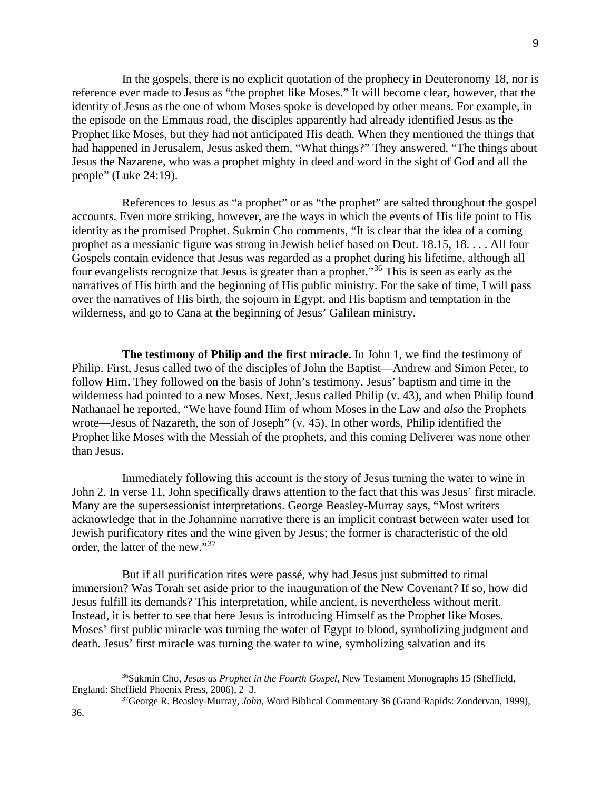9

In the gospels, there is no explicit quotation of the prophecy in Deuteronomy 18, nor is reference ever made to Jesus as "the prophet like Moses." It will become clear, however, that the identity of Jesus as the one of whom Moses spoke is developed by other means. For example, in the episode on the Emmaus road, the disciples apparently had already identified Jesus as the Prophet like Moses, but they had not anticipated His death. When they mentioned the things that had happened in Jerusalem, Jesus asked them, "What things?" They answered, "The things about Jesus the Nazarene, who was a prophet mighty in deed and word in the sight of God and all the people" (Luke 24:19).

References to Jesus as "a prophet" or as "the prophet" are salted throughout the gospel accounts. Even more striking, however, are the ways in which the events of His life point to His identity as the promised Prophet. Sukmin Cho comments, "It is clear that the idea of a coming prophet as a messianic figure was strong in Jewish belief based on Deut. 18.15, 18. . . . All four Gospels contain evidence that Jesus was regarded as a prophet during his lifetime, although all four evangelists recognize that Jesus is greater than a prophet."[36](#page-8-0) This is seen as early as the narratives of His birth and the beginning of His public ministry. For the sake of time, I will pass over the narratives of His birth, the sojourn in Egypt, and His baptism and temptation in the wilderness, and go to Cana at the beginning of Jesus' Galilean ministry.

**The testimony of Philip and the first miracle.** In John 1, we find the testimony of Philip. First, Jesus called two of the disciples of John the Baptist—Andrew and Simon Peter, to follow Him. They followed on the basis of John's testimony. Jesus' baptism and time in the wilderness had pointed to a new Moses. Next, Jesus called Philip (v. 43), and when Philip found Nathanael he reported, "We have found Him of whom Moses in the Law and *also* the Prophets wrote—Jesus of Nazareth, the son of Joseph" (v. 45). In other words, Philip identified the Prophet like Moses with the Messiah of the prophets, and this coming Deliverer was none other than Jesus.

Immediately following this account is the story of Jesus turning the water to wine in John 2. In verse 11, John specifically draws attention to the fact that this was Jesus' first miracle. Many are the supersessionist interpretations. George Beasley-Murray says, "Most writers acknowledge that in the Johannine narrative there is an implicit contrast between water used for Jewish purificatory rites and the wine given by Jesus; the former is characteristic of the old order, the latter of the new."[37](#page-8-1)

But if all purification rites were passé, why had Jesus just submitted to ritual immersion? Was Torah set aside prior to the inauguration of the New Covenant? If so, how did Jesus fulfill its demands? This interpretation, while ancient, is nevertheless without merit. Instead, it is better to see that here Jesus is introducing Himself as the Prophet like Moses. Moses' first public miracle was turning the water of Egypt to blood, symbolizing judgment and death. Jesus' first miracle was turning the water to wine, symbolizing salvation and its

<span id="page-8-0"></span><sup>36</sup>Sukmin Cho, *Jesus as Prophet in the Fourth Gospel*, New Testament Monographs 15 (Sheffield, England: Sheffield Phoenix Press, 2006), 2–3.

<span id="page-8-1"></span><sup>37</sup>George R. Beasley-Murray, *John*, Word Biblical Commentary 36 (Grand Rapids: Zondervan, 1999),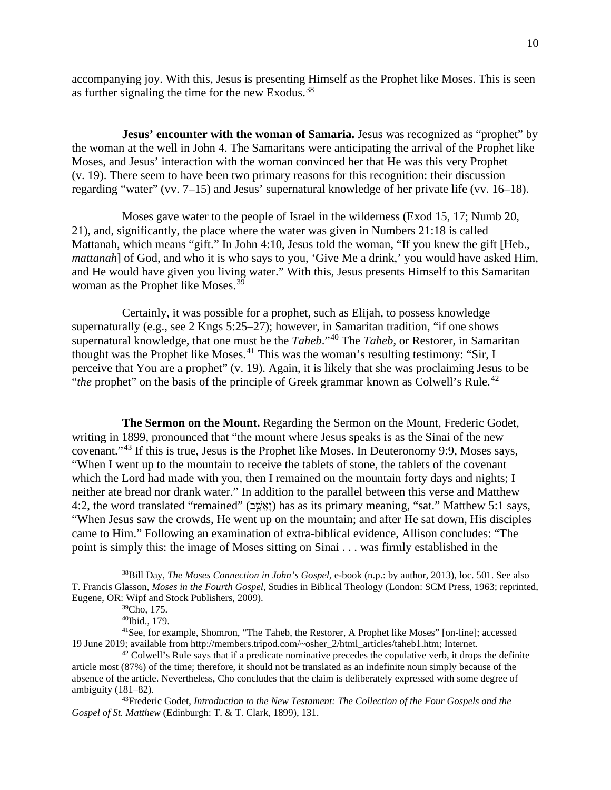accompanying joy. With this, Jesus is presenting Himself as the Prophet like Moses. This is seen as further signaling the time for the new Exodus.[38](#page-9-0)

**Jesus' encounter with the woman of Samaria.** Jesus was recognized as "prophet" by the woman at the well in John 4. The Samaritans were anticipating the arrival of the Prophet like Moses, and Jesus' interaction with the woman convinced her that He was this very Prophet (v. 19). There seem to have been two primary reasons for this recognition: their discussion regarding "water" (vv. 7–15) and Jesus' supernatural knowledge of her private life (vv. 16–18).

Moses gave water to the people of Israel in the wilderness (Exod 15, 17; Numb 20, 21), and, significantly, the place where the water was given in Numbers 21:18 is called Mattanah, which means "gift." In John 4:10, Jesus told the woman, "If you knew the gift [Heb., *mattanah*] of God, and who it is who says to you, 'Give Me a drink,' you would have asked Him, and He would have given you living water." With this, Jesus presents Himself to this Samaritan woman as the Prophet like Moses.<sup>[39](#page-9-1)</sup>

Certainly, it was possible for a prophet, such as Elijah, to possess knowledge supernaturally (e.g., see 2 Kngs 5:25–27); however, in Samaritan tradition, "if one shows supernatural knowledge, that one must be the *Taheb*."[40](#page-9-2) The *Taheb*, or Restorer, in Samaritan thought was the Prophet like Moses.[41](#page-9-3) This was the woman's resulting testimony: "Sir, I perceive that You are a prophet" (v. 19). Again, it is likely that she was proclaiming Jesus to be "*the* prophet" on the basis of the principle of Greek grammar known as Colwell's Rule.<sup>[42](#page-9-4)</sup>

**The Sermon on the Mount.** Regarding the Sermon on the Mount, Frederic Godet, writing in 1899, pronounced that "the mount where Jesus speaks is as the Sinai of the new covenant."[43](#page-9-5) If this is true, Jesus is the Prophet like Moses. In Deuteronomy 9:9, Moses says, "When I went up to the mountain to receive the tablets of stone, the tablets of the covenant which the Lord had made with you, then I remained on the mountain forty days and nights; I neither ate bread nor drank water." In addition to the parallel between this verse and Matthew 4:2, the word translated "remained" (אֲשֶׁב) has as its primary meaning, "sat." Matthew 5:1 says, "When Jesus saw the crowds, He went up on the mountain; and after He sat down, His disciples came to Him." Following an examination of extra-biblical evidence, Allison concludes: "The point is simply this: the image of Moses sitting on Sinai . . . was firmly established in the

<span id="page-9-0"></span><sup>38</sup>Bill Day, *The Moses Connection in John's Gospel*, e-book (n.p.: by author, 2013), loc. 501. See also T. Francis Glasson, *Moses in the Fourth Gospel*, Studies in Biblical Theology (London: SCM Press, 1963; reprinted, Eugene, OR: Wipf and Stock Publishers, 2009).

<sup>39</sup>Cho, 175.

<sup>40</sup>Ibid., 179.

<span id="page-9-3"></span><span id="page-9-2"></span><span id="page-9-1"></span><sup>41</sup>See, for example, Shomron, "The Taheb, the Restorer, A Prophet like Moses" [on-line]; accessed 19 June 2019; available from http://members.tripod.com/~osher\_2/html\_articles/taheb1.htm; Internet.  $42$  Colwell's Rule says that if a predicate nominative precedes the copulative verb, it drops the definite

<span id="page-9-4"></span>article most (87%) of the time; therefore, it should not be translated as an indefinite noun simply because of the absence of the article. Nevertheless, Cho concludes that the claim is deliberately expressed with some degree of ambiguity (181–82).

<span id="page-9-5"></span><sup>43</sup>Frederic Godet, *Introduction to the New Testament: The Collection of the Four Gospels and the Gospel of St. Matthew* (Edinburgh: T. & T. Clark, 1899), 131.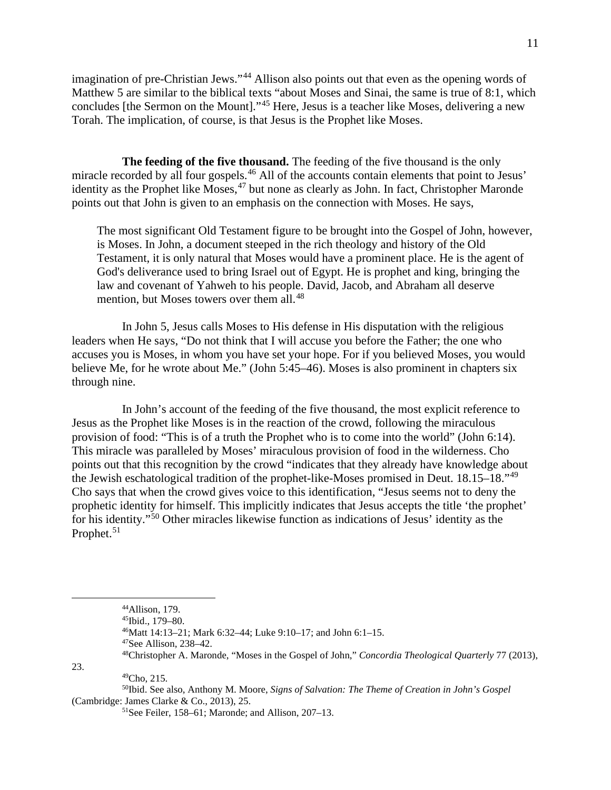imagination of pre-Christian Jews."<sup>[44](#page-10-0)</sup> Allison also points out that even as the opening words of Matthew 5 are similar to the biblical texts "about Moses and Sinai, the same is true of 8:1, which concludes [the Sermon on the Mount]."[45](#page-10-1) Here, Jesus is a teacher like Moses, delivering a new Torah. The implication, of course, is that Jesus is the Prophet like Moses.

**The feeding of the five thousand.** The feeding of the five thousand is the only miracle recorded by all four gospels.<sup>[46](#page-10-2)</sup> All of the accounts contain elements that point to Jesus' identity as the Prophet like Moses,  $47$  but none as clearly as John. In fact, Christopher Maronde points out that John is given to an emphasis on the connection with Moses. He says,

The most significant Old Testament figure to be brought into the Gospel of John, however, is Moses. In John, a document steeped in the rich theology and history of the Old Testament, it is only natural that Moses would have a prominent place. He is the agent of God's deliverance used to bring Israel out of Egypt. He is prophet and king, bringing the law and covenant of Yahweh to his people. David, Jacob, and Abraham all deserve mention, but Moses towers over them all.<sup>[48](#page-10-4)</sup>

In John 5, Jesus calls Moses to His defense in His disputation with the religious leaders when He says, "Do not think that I will accuse you before the Father; the one who accuses you is Moses, in whom you have set your hope. For if you believed Moses, you would believe Me, for he wrote about Me." (John 5:45–46). Moses is also prominent in chapters six through nine.

In John's account of the feeding of the five thousand, the most explicit reference to Jesus as the Prophet like Moses is in the reaction of the crowd, following the miraculous provision of food: "This is of a truth the Prophet who is to come into the world" (John 6:14). This miracle was paralleled by Moses' miraculous provision of food in the wilderness. Cho points out that this recognition by the crowd "indicates that they already have knowledge about the Jewish eschatological tradition of the prophet-like-Moses promised in Deut. 18.15–18."[49](#page-10-5) Cho says that when the crowd gives voice to this identification, "Jesus seems not to deny the prophetic identity for himself. This implicitly indicates that Jesus accepts the title 'the prophet' for his identity."[50](#page-10-6) Other miracles likewise function as indications of Jesus' identity as the Prophet.<sup>[51](#page-10-7)</sup>

<span id="page-10-5"></span><span id="page-10-4"></span><span id="page-10-3"></span><span id="page-10-2"></span><span id="page-10-1"></span><span id="page-10-0"></span>23.

<span id="page-10-7"></span><span id="page-10-6"></span>50Ibid. See also, Anthony M. Moore, *Signs of Salvation: The Theme of Creation in John's Gospel* (Cambridge: James Clarke & Co., 2013), 25.

<sup>44</sup>Allison, 179.

<sup>45</sup>Ibid., 179–80.

<sup>46</sup>Matt 14:13–21; Mark 6:32–44; Luke 9:10–17; and John 6:1–15.

<sup>47</sup>See Allison, 238–42.

<sup>48</sup>Christopher A. Maronde, "Moses in the Gospel of John," *Concordia Theological Quarterly* 77 (2013), 49Cho, 215.

<sup>51</sup>See Feiler, 158–61; Maronde; and Allison, 207–13.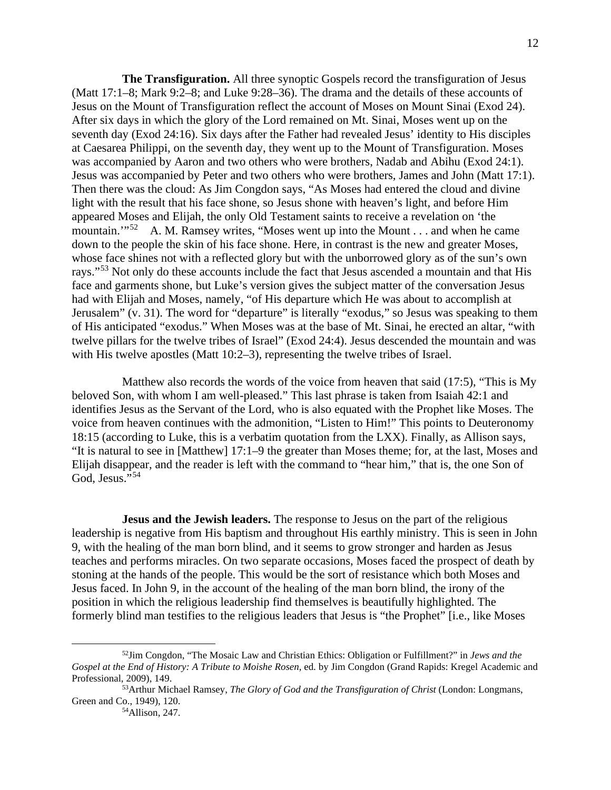**The Transfiguration.** All three synoptic Gospels record the transfiguration of Jesus (Matt 17:1–8; Mark 9:2–8; and Luke 9:28–36). The drama and the details of these accounts of Jesus on the Mount of Transfiguration reflect the account of Moses on Mount Sinai (Exod 24). After six days in which the glory of the Lord remained on Mt. Sinai, Moses went up on the seventh day (Exod 24:16). Six days after the Father had revealed Jesus' identity to His disciples at Caesarea Philippi, on the seventh day, they went up to the Mount of Transfiguration. Moses was accompanied by Aaron and two others who were brothers, Nadab and Abihu (Exod 24:1). Jesus was accompanied by Peter and two others who were brothers, James and John (Matt 17:1). Then there was the cloud: As Jim Congdon says, "As Moses had entered the cloud and divine light with the result that his face shone, so Jesus shone with heaven's light, and before Him appeared Moses and Elijah, the only Old Testament saints to receive a revelation on 'the mountain."<sup>[52](#page-11-0)</sup> A. M. Ramsey writes, "Moses went up into the Mount . . . and when he came down to the people the skin of his face shone. Here, in contrast is the new and greater Moses, whose face shines not with a reflected glory but with the unborrowed glory as of the sun's own rays."<sup>[53](#page-11-1)</sup> Not only do these accounts include the fact that Jesus ascended a mountain and that His face and garments shone, but Luke's version gives the subject matter of the conversation Jesus had with Elijah and Moses, namely, "of His departure which He was about to accomplish at Jerusalem" (v. 31). The word for "departure" is literally "exodus," so Jesus was speaking to them of His anticipated "exodus." When Moses was at the base of Mt. Sinai, he erected an altar, "with twelve pillars for the twelve tribes of Israel" (Exod 24:4). Jesus descended the mountain and was with His twelve apostles (Matt 10:2–3), representing the twelve tribes of Israel.

Matthew also records the words of the voice from heaven that said (17:5), "This is My beloved Son, with whom I am well-pleased." This last phrase is taken from Isaiah 42:1 and identifies Jesus as the Servant of the Lord, who is also equated with the Prophet like Moses. The voice from heaven continues with the admonition, "Listen to Him!" This points to Deuteronomy 18:15 (according to Luke, this is a verbatim quotation from the LXX). Finally, as Allison says, "It is natural to see in [Matthew] 17:1–9 the greater than Moses theme; for, at the last, Moses and Elijah disappear, and the reader is left with the command to "hear him," that is, the one Son of God, Jesus."<sup>[54](#page-11-2)</sup>

**Jesus and the Jewish leaders.** The response to Jesus on the part of the religious leadership is negative from His baptism and throughout His earthly ministry. This is seen in John 9, with the healing of the man born blind, and it seems to grow stronger and harden as Jesus teaches and performs miracles. On two separate occasions, Moses faced the prospect of death by stoning at the hands of the people. This would be the sort of resistance which both Moses and Jesus faced. In John 9, in the account of the healing of the man born blind, the irony of the position in which the religious leadership find themselves is beautifully highlighted. The formerly blind man testifies to the religious leaders that Jesus is "the Prophet" [i.e., like Moses

<span id="page-11-0"></span><sup>52</sup>Jim Congdon, "The Mosaic Law and Christian Ethics: Obligation or Fulfillment?" in *Jews and the Gospel at the End of History: A Tribute to Moishe Rosen*, ed. by Jim Congdon (Grand Rapids: Kregel Academic and Professional, 2009), 149.

<span id="page-11-2"></span><span id="page-11-1"></span><sup>53</sup>Arthur Michael Ramsey, *The Glory of God and the Transfiguration of Christ* (London: Longmans, Green and Co., 1949), 120.

<sup>54</sup>Allison, 247.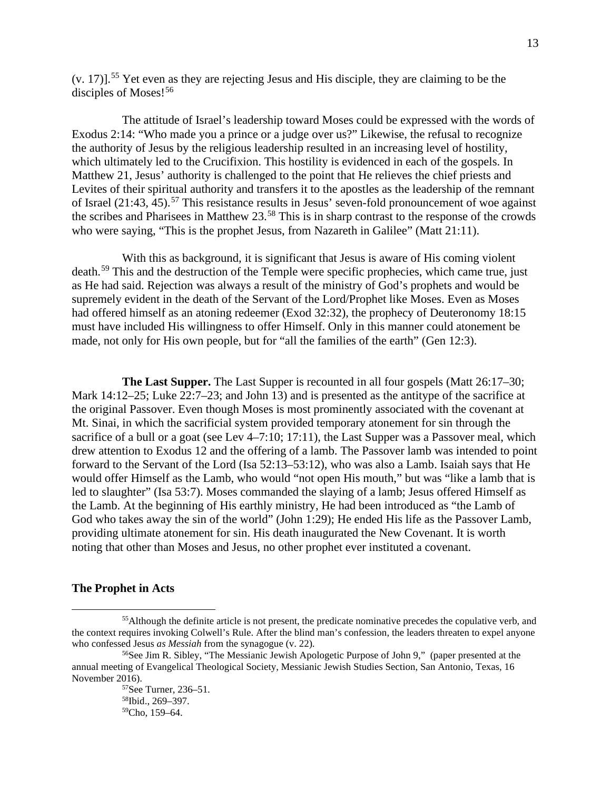(v. 17)]. [55](#page-12-0) Yet even as they are rejecting Jesus and His disciple, they are claiming to be the disciples of Moses!<sup>[56](#page-12-1)</sup>

The attitude of Israel's leadership toward Moses could be expressed with the words of Exodus 2:14: "Who made you a prince or a judge over us?" Likewise, the refusal to recognize the authority of Jesus by the religious leadership resulted in an increasing level of hostility, which ultimately led to the Crucifixion. This hostility is evidenced in each of the gospels. In Matthew 21, Jesus' authority is challenged to the point that He relieves the chief priests and Levites of their spiritual authority and transfers it to the apostles as the leadership of the remnant of Israel  $(21:43, 45)$ <sup>[57](#page-12-2)</sup>. This resistance results in Jesus' seven-fold pronouncement of woe against the scribes and Pharisees in Matthew 23.[58](#page-12-3) This is in sharp contrast to the response of the crowds who were saying, "This is the prophet Jesus, from Nazareth in Galilee" (Matt 21:11).

With this as background, it is significant that Jesus is aware of His coming violent death.<sup>[59](#page-12-4)</sup> This and the destruction of the Temple were specific prophecies, which came true, just as He had said. Rejection was always a result of the ministry of God's prophets and would be supremely evident in the death of the Servant of the Lord/Prophet like Moses. Even as Moses had offered himself as an atoning redeemer (Exod 32:32), the prophecy of Deuteronomy 18:15 must have included His willingness to offer Himself. Only in this manner could atonement be made, not only for His own people, but for "all the families of the earth" (Gen 12:3).

**The Last Supper.** The Last Supper is recounted in all four gospels (Matt 26:17–30; Mark 14:12–25; Luke 22:7–23; and John 13) and is presented as the antitype of the sacrifice at the original Passover. Even though Moses is most prominently associated with the covenant at Mt. Sinai, in which the sacrificial system provided temporary atonement for sin through the sacrifice of a bull or a goat (see Lev 4–7:10; 17:11), the Last Supper was a Passover meal, which drew attention to Exodus 12 and the offering of a lamb. The Passover lamb was intended to point forward to the Servant of the Lord (Isa 52:13–53:12), who was also a Lamb. Isaiah says that He would offer Himself as the Lamb, who would "not open His mouth," but was "like a lamb that is led to slaughter" (Isa 53:7). Moses commanded the slaying of a lamb; Jesus offered Himself as the Lamb. At the beginning of His earthly ministry, He had been introduced as "the Lamb of God who takes away the sin of the world" (John 1:29); He ended His life as the Passover Lamb, providing ultimate atonement for sin. His death inaugurated the New Covenant. It is worth noting that other than Moses and Jesus, no other prophet ever instituted a covenant.

#### **The Prophet in Acts**

<span id="page-12-0"></span><sup>&</sup>lt;sup>55</sup>Although the definite article is not present, the predicate nominative precedes the copulative verb, and the context requires invoking Colwell's Rule. After the blind man's confession, the leaders threaten to expel anyone who confessed Jesus *as Messiah* from the synagogue (v. 22).<br><sup>56</sup>See Jim R. Sibley, "The Messianic Jewish Apologetic Purpose of John 9," (paper presented at the

<span id="page-12-4"></span><span id="page-12-3"></span><span id="page-12-2"></span><span id="page-12-1"></span>annual meeting of Evangelical Theological Society, Messianic Jewish Studies Section, San Antonio, Texas, 16 November 2016).

<sup>57</sup>See Turner, 236–51. 58Ibid., 269–397. 59Cho, 159–64.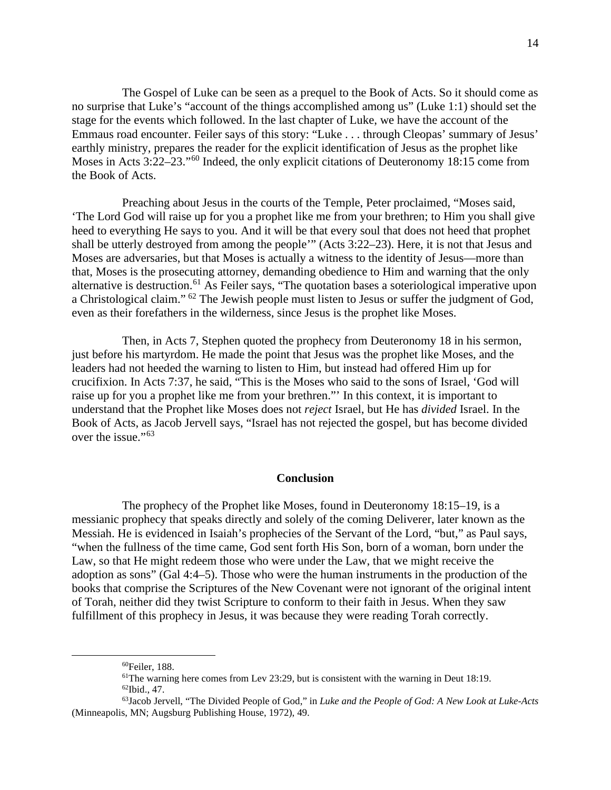The Gospel of Luke can be seen as a prequel to the Book of Acts. So it should come as no surprise that Luke's "account of the things accomplished among us" (Luke 1:1) should set the stage for the events which followed. In the last chapter of Luke, we have the account of the Emmaus road encounter. Feiler says of this story: "Luke . . . through Cleopas' summary of Jesus' earthly ministry, prepares the reader for the explicit identification of Jesus as the prophet like Moses in Acts 3:22–23."<sup>[60](#page-13-0)</sup> Indeed, the only explicit citations of Deuteronomy 18:15 come from the Book of Acts.

Preaching about Jesus in the courts of the Temple, Peter proclaimed, "Moses said, 'The Lord God will raise up for you a prophet like me from your brethren; to Him you shall give heed to everything He says to you. And it will be that every soul that does not heed that prophet shall be utterly destroyed from among the people'" (Acts 3:22–23). Here, it is not that Jesus and Moses are adversaries, but that Moses is actually a witness to the identity of Jesus—more than that, Moses is the prosecuting attorney, demanding obedience to Him and warning that the only alternative is destruction.[61](#page-13-1) As Feiler says, "The quotation bases a soteriological imperative upon a Christological claim." <sup>[62](#page-13-2)</sup> The Jewish people must listen to Jesus or suffer the judgment of God, even as their forefathers in the wilderness, since Jesus is the prophet like Moses.

Then, in Acts 7, Stephen quoted the prophecy from Deuteronomy 18 in his sermon, just before his martyrdom. He made the point that Jesus was the prophet like Moses, and the leaders had not heeded the warning to listen to Him, but instead had offered Him up for crucifixion. In Acts 7:37, he said, "This is the Moses who said to the sons of Israel, 'God will raise up for you a prophet like me from your brethren."' In this context, it is important to understand that the Prophet like Moses does not *reject* Israel, but He has *divided* Israel. In the Book of Acts, as Jacob Jervell says, "Israel has not rejected the gospel, but has become divided over the issue." $63$ 

#### **Conclusion**

The prophecy of the Prophet like Moses, found in Deuteronomy 18:15–19, is a messianic prophecy that speaks directly and solely of the coming Deliverer, later known as the Messiah. He is evidenced in Isaiah's prophecies of the Servant of the Lord, "but," as Paul says, "when the fullness of the time came, God sent forth His Son, born of a woman, born under the Law, so that He might redeem those who were under the Law, that we might receive the adoption as sons" (Gal 4:4–5). Those who were the human instruments in the production of the books that comprise the Scriptures of the New Covenant were not ignorant of the original intent of Torah, neither did they twist Scripture to conform to their faith in Jesus. When they saw fulfillment of this prophecy in Jesus, it was because they were reading Torah correctly.

<sup>60</sup>Feiler, 188.

<sup>61</sup>The warning here comes from Lev 23:29, but is consistent with the warning in Deut 18:19.  $62$ Ibid., 47.

<span id="page-13-3"></span><span id="page-13-2"></span><span id="page-13-1"></span><span id="page-13-0"></span><sup>63</sup>Jacob Jervell, "The Divided People of God," in *Luke and the People of God: A New Look at Luke-Acts* (Minneapolis, MN; Augsburg Publishing House, 1972), 49.